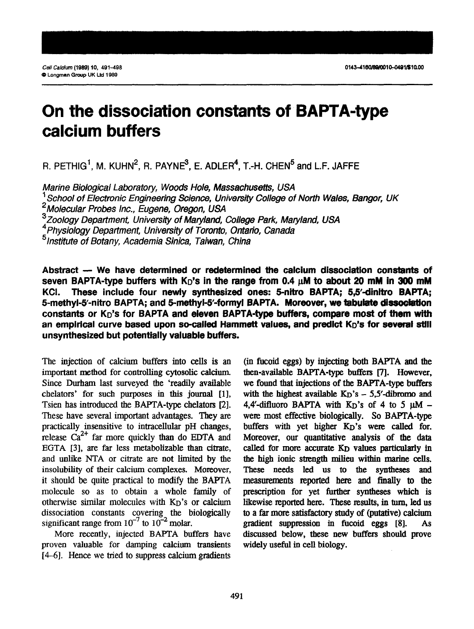# **On the dissociation constants of BAPTA-type calcium buffers**

R. PETHIG<sup>1</sup>, M. KUHN<sup>2</sup>, R. PAYNE<sup>3</sup>, E. ADLER<sup>4</sup>, T.-H. CHEN<sup>5</sup> and L.F. JAFFE

*Marine Biological Laboratory, Woods Hole, Massachusetts, USA*  ' *School of Electronic Engineering Science, University College of North Wales, Bangor, UK \*Moiew/ar Probes Inc., Eugene, Oregon, USA 3Zoo/ogy Department, University of Maryland, College Park, Maryland, USA 4 Physiology Department, University of Toronto, Ontario, Canada 51nstitute of Botany, Academia Sinica, Taiwan, China* 

Abstract - We have determined or redetermined the calcium dissociation constants of seven BAPTA-type buffers with  $K_D$ 's in the range from 0.4  $\mu$ M to about 20 mM in 300 mM KCI. These include four newly synthesized ones: 5-nitro BAPTA; 5,5'-dinitro BAPTA; 5-methyl-5'-nitro BAPTA; and 5-methyl-5'-formyl BAPTA. Moreover, we tabulate dissociation constants or K<sub>D</sub>'s for BAPTA and eleven BAPTA-type buffers, compare most of them with an empirical curve based upon so-called Hammett values, and predict K<sub>D</sub>'s for several still **unsynthesized but potentially valuable buffers.** 

The injection of calcium buffers into cells is an important method for controlling cytosolic calcium. Since Durham last surveyed the 'readily available chelators' for such purposes in this journal [l], Tsien has introduced the BAPTA-type chelators [2]. These have several important advantages. They are practically insensitive to intracellular pH changes, release  $Ca^{2+}$  far more quickly than do EDTA and EGTA [3], are far less metabolizable than citrate, and unlike NTA or citrate are not limited by the insolubility of their calcium complexes. Moreover, it should be quite practical to modify the BAPTA molecule so as to obtain a whole family of otherwise similar molecules with KD'S or calcium dissociation constants covering the biologically significant range from  $10^{-7}$  to  $10^{-2}$  molar.

More recently, injected BAPTA buffers have proven valuable for damping calcium transients  $[4-6]$ . Hence we tried to suppress calcium gradients

(in fucoid eggs) by injecting both BAPTA and the then-available BAPTA-type buffers [7]. However, we found that injections of the BAPTA-type buffers with the highest available  $K_D$ 's  $-$  5,5'-dibromo and 4,4'-difluoro BAPTA with  $K_D$ 's of 4 to 5  $\mu$ M were most effective biologically. So BAPTA-type buffers with yet higher K<sub>D</sub>'s were called for. Moreover, our quantitative analysis of the data called for more accurate K<sub>D</sub> values particularly in the high ionic strength milieu within marine cells. These needs led us to the syntheses and measurements reported here and finally to the prescription for yet further syntheses which is likewise reported here. These results, in turn, led us to a far more satisfactory study of (putative) calcium gradient suppression in fucoid eggs [8]. As discussed below, these new buffers should prove widely useful in cell biology.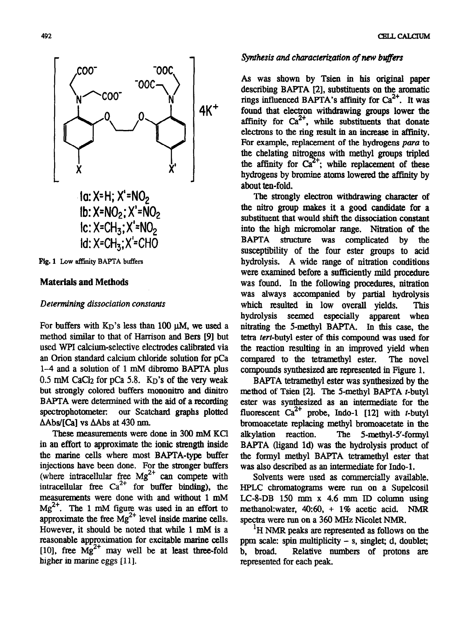

Fig. 1 Low affinity BAFTA buffers

## **Materials and Methods**

## *Determining dissociation constants*

For buffers with  $K_D$ 's less than 100  $\mu$ M, we used a method similar to that of Harrison and Bers [9] but used WPI calcium-selective electrodes calibrated via an Orion standard calcium chloride solution for pCa l-4 and a solution of 1 mM dibromo BAPTA plus  $0.5$  mM CaCl<sub>2</sub> for pCa 5.8.  $K<sub>D</sub>$ 's of the very weak but strongly colored buffers mononitro and dinitro BAFTA were determined with the aid of a recording spectrophotometer: our Scatchard graphs plotted AAbs/[Ca] vs AAbs at 430 run.

These measurements were done in 300 mM KC1 in an effort to approximate the ionic strength inside the marine cells where most BARTA-type buffer injections have been done. For the stronger buffers (where intracellular free  $Mg^2$  can compete with intracellular free  $Ca^{2+}$  for buffer binding), the measurements were done with and without 1 mM  $\text{Me}^{2+}$ . The 1 mM figure was used in an effort to approximate the free  $Mg^{2+}$  level inside marine cells. However, it should be noted that while 1 mM is a reasonable approximation for excitable marine cells [10], free  $\text{Mg}^{2+}$  may well be at least three-fold higher in marine eggs [11].

#### CELLCALCIUM

## *synthesis and characterization of new bujfers*

*As was* shown by Tsien in his originaI paper describing BAPTA [2], substituents on the aromatic rings influenced BAPTA's affinity for  $Ca^{2+}$ . It was found that electron withdrawing groups lower the affinity for  $Ca^{2+}$ , while substituents that donate electrons to the ring result in an increase in affinity. For example, replacement of the hydrogens *para* to the chelating nitrogens with methyl groups tripled the affinity for  $Ca^{2+}$ ; while replacement of these hydrogens by bromine atoms lowered the affinity by about ten-fold.

The strongly electron withdrawing character of the nitro group makes it a good candidate for a substituent that would shift the dissociation constant into the high micromolar range. Nitration of the BARTA structure was complicated by the susceptibility of the four ester groups to acid hydrolysis. A wide range of nitration conditions were examined before a sufficiently mild procedure was found. In the following procedures, nitration was always accompanied by partial hydrolysis which resulted in low overall yields. This hydrolysis seemed especially apparent when nitrating the 5-methyl BAPTA. In this case, the tetra tert-butyl ester of this compound was used for the reaction resulting in an improved yield when compared to the tetramethyl ester. The novel compounds synthesized ate represented in Figure 1.

BAPTA tetramethyl ester was synthesized by the method of Tsien  $[2]$ . The 5-methyl BAPTA t-butyl ester was synthesized as an intermediate for the fluorescent  $Ca^{2+}$  probe, Indo-1 [12] with t-butyl bromoacetate replacing methyl bromoacetate in the alkylation reaction. The 5-methyl-S-formyl BAPTA (ligand Id) was the hydrolysis product of the formyl methyl BAPTA tetramethyl ester that was also described as an intermediate for Indo-1.

Solvents were used as commercially available. HPLC chromatograms were run on a Supelcosil LC-8-DB 150 mm x 4.6 mm ID column using methanol: water,  $40:60$ ,  $+ 1\%$  acetic acid. NMR spectra were run on a 360 MHz Nicolet NMR.

<sup>1</sup>H NMR peaks are represented as follows on the ppm scale: spin multiplicity - s, singlet; d, doublet; b, broad. Relative numbers of protons axe represented for each peak.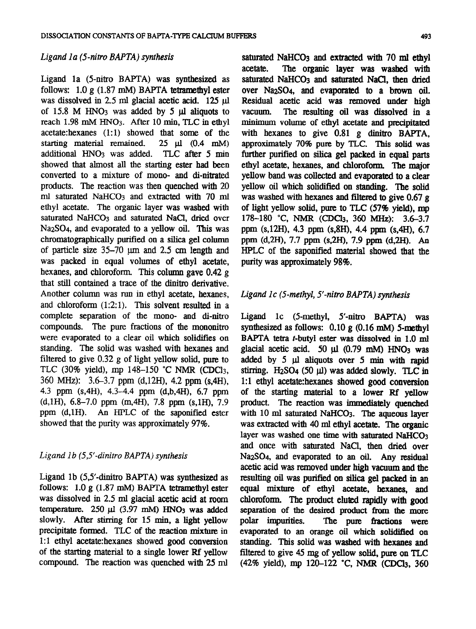## *Ligand Ia (5-nitro BAPTA) synthesis*

Ligand 1a (5-nitro BAPTA) was synthesized as follows:  $1.0 \text{ g}$  (1.87 mM) BAPTA tetramethyl ester was dissolved in  $2.5$  ml glacial acetic acid.  $125$   $\mu$ l of 15.8 M HNO<sub>3</sub> was added by 5 ul aliquots to reach 1.98 mM **HN03.** After 10 min, TLC in ethyl acetate:hexanes  $(1:1)$  showed that some of the starting material remained.  $25 \text{ }\mu\text{l}$   $(0.4 \text{ }\text{mM})$ starting material remained. additional HNO<sub>3</sub> was added. TLC after 5 min showed that almost all the starting ester had been converted to a mixture of mono- and di-nitrated products. The reaction was then quenched with 20 ml saturated NaHC03 and extracted with 70 ml ethyl acetate. The organic layer was washed with saturated NaHCO<sub>3</sub> and saturated NaCl, dried over NazS04, and evaporated to a yellow oil. This was chromatographically purified on a silica gel column of particle size  $35-70$   $\mu$ m and  $2.5$  cm length and was packed in equal volumes of ethyl acetate, hexanes, and chloroform. This column gave 0.42 g that still contained a trace of the dinitro derivative. Another column was run in ethyl acetate, hexanes, and chloroform  $(1:2:1)$ . This solvent resulted in a complete separation of the mono- and di-nitro compounds. The pure fractions of the mononitro were evaporated to a clear oil which solidifies on standing. The solid was washed with hexanes and filtered to give 0.32 g of light yellow solid, pure to TLC (30% yield), mp 148-150 "C NMR (CDCl3, 360 MHZ): 3.6-3.7 ppm (d,12H), 4.2 ppm (s,4H), 4.3 ppm (s,4H), 4.3-4.4 ppm (d,b,4H), 6.7 ppm (d,lH), 6.8-7.0 ppm (m,4H), 7.8 ppm (s,lH), 7.9 ppm (d,lH). An HPLC of the saponified ester showed that the purity was approximately 97%.

# Ligand 1b (5,5'-dinitro BAPTA) synthesis

Ligand lb (5,5'-dinitro BAPTA) was synthesized as follows:  $1.0 \text{ g}$  (1.87 mM) BAPTA tetramethyl ester was dissolved in 2.5 ml glacial acetic acid at room temperature.  $250 \text{ µ}$  (3.97 mM) HNO<sub>3</sub> was added slowly. After stirring for 15 min. a light yellow precipitate formed. TLC of the reaction mixture in 1:1 ethyl acetate: hexanes showed good conversion of the starting materid to a single lower Rf yellow compound. The reaction was quenched with 25 ml saturated NaHCO<sub>3</sub> and extracted with 70 ml ethyl acetate. The **organic layer was** washed with saturated NaHCO<sub>3</sub> and saturated NaCl, then dried over NazSO4, and evaporated to a brown oil. Residual acetic acid was removed under high vacuum. The resulting oil was dissolved in a The resulting oil was dissolved in a minimum volume of ethyl acetate and precipitated with hexanes to give  $0.81$  g dinitro BAPTA. approximately 70% pure by TLC. 'Ihis solid was further purified on silica gel packed in equal parts ethyl acetate, hexanes, and chloroform. The major yellow band was collected and evaporated to a clear yellow oil which solidified on standing. The solid was washed with hexanes and filtered to give 0.67 g of light yellow solid, pure to TLC (57% yield), mp 178-180 °C, NMR (CDCl<sub>3</sub>, 360 MHz): 3.6-3.7 ppm (s,12H), 4.3 ppm (s,8H), 4.4 ppm (s,4H), 6.7 ppm (d,2H), 7.7 ppm (s,2H), 7.9 ppm (d,2H). An HPLC of the saponified material showed that the purity was approximately 98%.

## Ligand 1c (5-methyl, 5'-nitro BAPTA) synthesis

Ligand lc (5-methyl, 5'-nitro BAPTA) was synthesized as follows:  $0.10 \text{ g}$  (0.16 mM) 5-methyl BAPTA tetra t-butyl ester was dissolved in 1.0 ml glacial acetic acid. 50  $\mu$  (0.79 mM) HNO<sub>3</sub> was added by 5 µl aliquots over 5 min with rapid stirring.  $H_2SO_4$  (50  $\mu$ I) was added slowly. TLC in 1:l ethyl acetate:hexanes showed good conversion of the starting material to a lower Rf yellow product. The reaction was immediately quenched with 10 ml saturated NaHC03. The aqueous layer was extracted with 40 ml ethyl acetate. The organic layer was washed one time with saturated NaHCO<sub>3</sub> and once with saturated NaCl, then dried over NazS04, and evaporated to an oil. Any residual acetic acid was removed under high vacuum and the resulting oil was purified on silica gel packed in an equal mixture of ethyl acetate, hexanes, and chloroform. The product eluted rapidly with good separation of the desired product from the more<br>polar impurities. The pure fractions were The pure fractions were evaporated to an orange oil which solidified on standing. This solid was washed with hexanes and filtered to give 45 mg of yellow solid, pure on TLC (42% yield), mp 120–122 °C, NMR (CDCl<sub>3</sub>, 360)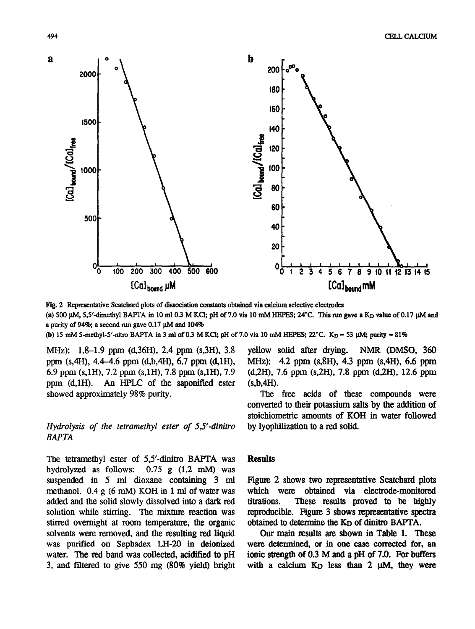

Fig. 2 Representative Scatchard plots of dissociation constants obtained via calcium selective electrodes (a) 500  $\mu$ M, 5,5'-dimethyl BAPTA in 10 ml 0.3 M KCl; pH of 7.0 via 10 mM HEPES; 24°C. This run gave a K<sub>D</sub> value of 0.17  $\mu$ M and a purity of 94%; a second run gave 0.17  $\mu$ M and 104%

(b) 15 mM 5-methyl-5'-nitro BAPTA in 3 ml of 0.3 M KCl; pH of 7.0 via 10 mM HEPES;  $22^{\circ}$ C. K<sub>D</sub> = 53  $\mu$ M; purity = 81%

MHz): l&1.9 **ppm** (636H), 2.4 **ppm** (s,3H), 3.8 ppm  $(s,4H)$ , 4.4-4.6 ppm  $(d,b,4H)$ , 6.7 ppm  $(d,1H)$ , 6.9 **ppm** (s,lH), 7.2 **ppm** (s,lH), 7.8 **ppm** (s,lH), 7.9 **ppm** (d,lH). An HPLC of the saponified ester showed approximately 98% purity.

# *Hydrolysis of the tetramethyl ester of 5,S-dinitro BAPTA*

The tetramethyl ester of *5,5'-dinitro* BAFTA was hydrolyzed as follows: 0.75 g (1.2 mM) was suspended in 5 ml dioxane containing 3 ml methanol. 0.4 g (6 mM) KOH in 1 ml of water was added and the solid slowly dissolved into a dark red solution while stirring. The mixture reaction was stirred overnight at room temperature, the organic solvents were removed, and the resulting red liquid was purified on Sephadex LH-20 in deionized water. The red band was collected, acidified to pH 3, and ftitered to give 550 mg (80% yield) bright *yellow* solid after drying. NMR (DMSO, *360 MHZ): 4.2* **ppm** *(s,8H), 4.3* **ppm** (s,4H), 6.6 ppm (d,2H), 7.6 ppm (s,2H), 7.8 ppm (d,2H), 12.6 ppm (s,b,4H).

The free acids of these compounds were converted to their potassium salts by the addition of stoichiometric amounts of KOH in water followed by lyophilization to a red solid.

## **Results**

Figure 2 shows two representative Scatchard plots which were obtained via electrode-monitored titrations. These results proved to be highly reproducible. Figure 3 shows representative spectra obtained to determine the K<sub>D</sub> of dinitro BAPTA.

Our main results are shown in Table 1. These were determined, or in one case corrected for, an ionic strength of *0.3* M and a pH of *7.0.* For buffers with a calcium K<sub>D</sub> less than 2  $\mu$ M, they were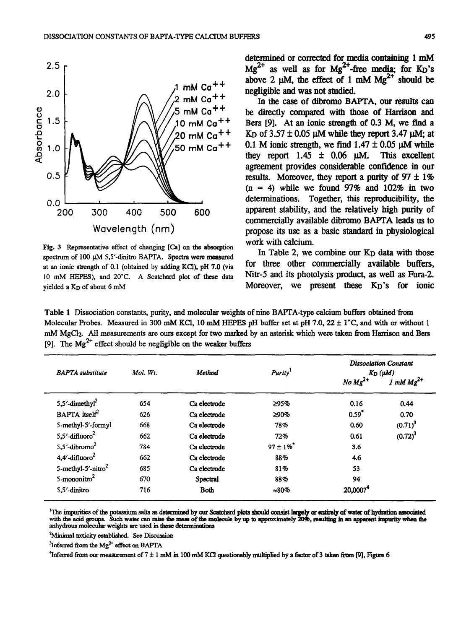

Fig. 3 Representative effect of changing [Ca] on the absorption spectrum of 100 uM 5,5'-dinitro BAPTA. Spectra were measured at an ionic strength of 0.1 (obtained by adding KCl), pH 7.0 (via 10 mM HEPES), and 20°C. A Scatchard plot of these data yielded a K<sub>D</sub> of about 6 mM

determined or corrected for media containing 1 mM  $Mg^{2+}$  as well as for  $Mg^{2+}$ -free media; for K<sub>D</sub>'s above 2  $\mu$ M, the effect of 1 mM Mg<sup>2+</sup> should be negligible and was not studied.

In the case of dibromo BAFTA, our results can be directly compared with those of Harrison and Bers [9]. At an ionic strength of 0.3 M, we find a K<sub>D</sub> of  $3.57 \pm 0.05$   $\mu$ M while they report 3.47  $\mu$ M; at 0.1 M ionic strength, we find  $1.47 \pm 0.05$   $\mu$ M while they report 1.45  $\pm$  0.06  $\mu$ M. This excellent agreement provides considerable confidence in our results. Moreover, they report a purity of  $97 \pm 1\%$  $(n = 4)$  while we found 97% and 102% in two determinations. Together, this reproducibility, the apparent stability, and the relatively high purity of commercially available dibromo BAPTA leads us to propose its use as a basic staudard in physiological work with calcium.

In Table 2, we combine our K<sub>D</sub> data with those for three other commercially available buffers, Nitr-5 and its photolysis product, as well as Fura-2. Moreover, we present these KD'S for ionic

Table 1 Dissociation constants, purity, and molecular weights of nine BAFTA-type calcium buffers obtained from Molecular Probes. Measured in 300 mM KCI, 10 mM HEPES pH buffer set at pH 7.0,  $22 \pm 1$ °C, and with or without 1 mM MgCl<sub>2</sub>. All measurements are ours except for two marked by an asterisk which were taken from Harrison and Bers [9]. The  $\text{Mg}^{2+}$  effect should be negligible on the weaker buffers

| <b>BAPTA</b> substitute            | Mol. Wt. | Method       | <b>Purity</b>  | <b>Dissociation Constant</b><br>$K_D(\mu M)$ |                         |
|------------------------------------|----------|--------------|----------------|----------------------------------------------|-------------------------|
|                                    |          |              |                | No $Mg^{2+}$                                 | $1 \text{ mM } Mg^{2+}$ |
| 5,5'-dimethyl <sup>2</sup>         | 654      | Ca electrode | 295%           | 0.16                                         | 0.44                    |
| $BAPTA$ itself <sup>2</sup>        | 626      | Ca electrode | ≥90%           | 0.59                                         | 0.70                    |
| 5-methyl-5'-formyl                 | 668      | Ca electrode | 78%            | 0.60                                         | $(0.71)^3$              |
| 5,5 $^{\prime}$ -difluoro $^2$     | 662      | Ca electrode | 72%            | 0.61                                         | $(0.72)^3$              |
| 5.5 $^{\prime}$ -dibromo $^2$      | 784      | Ca electrode | $97 \pm 1\%$   | 3.6                                          |                         |
| $4.4'$ -difluoro <sup>2</sup>      | 662      | Ca electrode | 88%            | 4.6                                          |                         |
| 5-methyl-5 $^{\prime}$ -nitro $^2$ | 685      | Ca electrode | 81%            | 53                                           |                         |
| 5-mononitro $2$                    | 670      | Spectral     | 88%            | 94                                           |                         |
| 5.5' dinitro                       | 716      | <b>Both</b>  | $\approx 80\%$ | 20,000?                                      |                         |

"The impurities of the potassium salts as determined by our Scatchard plots should consist largely or entirely of water of hydration with the acid groups. Such water can raise the mass of the molecule by up to approximately 20%, resulting in an apparent impur anhydrous molecular weights are used in these determinations

<sup>2</sup> Minimal toxicity established. See Discussion

 $^{3}$ Inferred from the Mg<sup>2+</sup> effect on BAPTA

<sup>4</sup>Inferred from our measurement of  $7 \pm 1$  mM in 100 mM KCl questionably multiplied by a factor of 3 taken from [9], Figure 6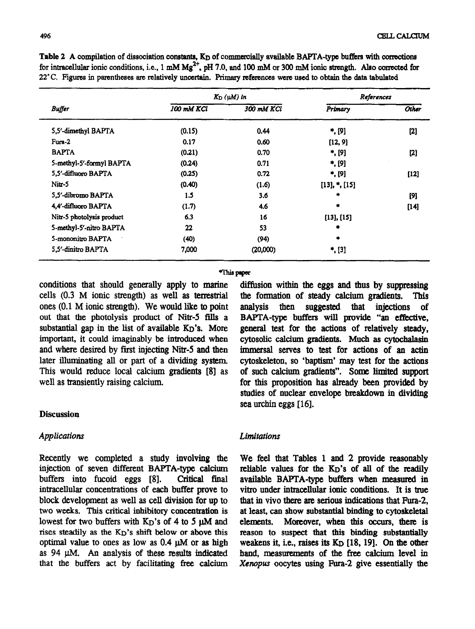|                           |            | $K_D(\mu M)$ in | References        |        |
|---------------------------|------------|-----------------|-------------------|--------|
| <b>Buffer</b>             | 100 mM KCl | 300 mM KCl      | Primary           | Other  |
| 5,5'-dimethyl BAPTA       | (0.15)     | 0.44            | , [9]             | $[2]$  |
| Fura-2                    | 0.17       | 0.60            | [12, 9]           |        |
| <b>BAPTA</b>              | (0.21)     | 0.70            | *, [9]            | $[2]$  |
| 5-methyl-5'-formyl BAPTA  | (0.24)     | 0.71            | , [9]             |        |
| 5.5'-difluoro BAPTA       | (0.25)     | 0.72            | , [9]             | $[12]$ |
| Nitr-5                    | (0.40)     | (1.6)           | $[13],$ *, $[15]$ |        |
| 5.5'-dibromo BAPTA        | 1.5        | 3.6             | ۰                 | [9]    |
| 4,4'-difluoro BAPTA       | (1.7)      | 4.6             | 廔                 | $[14]$ |
| Nitr-5 photolysis product | 6.3        | 16              | $[13]$ , $[15]$   |        |
| 5-methyl-5'-nitro BAPTA   | 22         | 53              |                   |        |
| 5-mononitro BAPTA         | (40)       | (94)            | ۰                 |        |
| 5.5'-dinitro BAPTA        | 7,000      | (20,000)        | *, [3]            |        |

Table 2 A compilation of dissociation constants, K<sub>D</sub> of commercially available BAPTA-type buffers with corrections for intracellular ionic conditions, i.e., 1 mM Mg<sup>2</sup>', pH 7.0, and 100 mM or 300 mM ionic strength. Also corrected for 22°C. Figures in parentheses are relatively uncertain. Primary references were used to obtain the data tabulated

#### **mppca**

conditions that should generally apply to marine cells (0.3 M ionic sttength) as well as terrestrial ones (0.1 M ionic strength). We would like to point out that the photolysis product of Nitr-5 fills a substantial gap in the list of available K<sub>D</sub>'s. More **important,** it could imaginably be introduced when and where desired by first injecting Nitr-5 and then later illuminating all or part of a dividing system This would reduce local calcium gradients [8] as well as transiently raising calcium.

## **Discussion**

## *Applications*

Recently we completed a study involving the injection of seven different BAPTA-type calcium buffers into fucoid eggs [8]. Critical final intracellular concentrations of each buffer prove to block development as well as cell division for up to two weeks. This critical inhibitory concentration is lowest for two buffers with  $K_D$ 's of 4 to 5  $\mu$ M and rises steadily as the K<sub>D</sub>'s shift below or above this optimal value to ones as low as  $0.4 \mu M$  or as high as  $94 \mu M$ . An analysis of these results indicated that the buffers act by facilitating free calcium

diffusion within the eggs and thus by suppressing the formation of steady calcium gradients. This analysis then suggested that injections of BAFTA-type buffers will provide "an effective, general test for the actions of relatively steady, cytosolic calcium gradients. Much as cytochalasin immersal serves to test for actions of an actin cytoskeleton, so 'baptism' may test for the actions of such calcium gradients". Some limited support for this proposition has already been provided by studies of nuclear envelope breakdown in dividing sea urchin eggs [16].

## *Limitations*

We feel that Tables 1 and 2 provide reasonably reliable values for the KD'S of all of the readily available BAPTA-type buffers when measured in vitro under intracellular ionic conditions. It is true that in vivo there am serious indications that Fura-2, at least, can show substantial binding to cytoskeletal elements. Moreover, when this occurs, there is reason to suspect that this binding substantially weakens it, i.e., raises its  $K_D$  [18, 19]. On the other hand, measurements of the free calcium level in Xenopus oocytes using Fura-2 give essentially the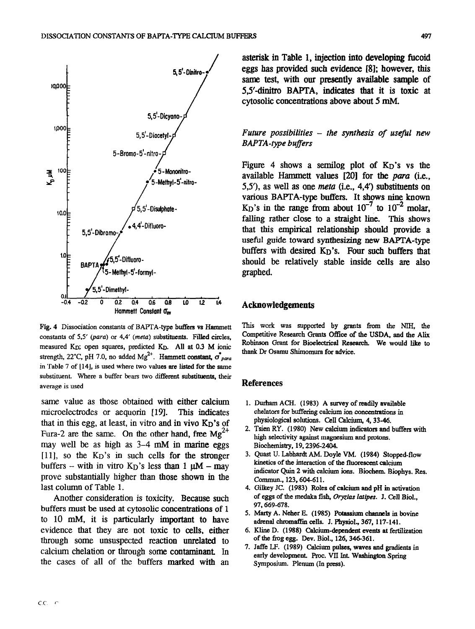

**Fig. 4 Dissociation constants of BAPTA-type buffera vs Hammett constants of 5,5' (para) or 4.4' (meta) substituents. Filled circles,**  measured K<sub>D</sub>; open squares, predicted K<sub>D</sub>. All at 0.3 M ionic strength, 22°C, pH 7.0, no added Mg<sup>2+</sup>. Hammett constant,  $\sigma_{para}^*$ **in Table 7 of [14], is used where two values are listed for the same substituent. Where a buffer bears two different substituents, their average is used** 

*same value* as those obtained with either calcium microelectrodes or aequorin [19]. This indicates that in this egg, at least, in vitro and in vivo KD'S of Fura-2 are the same. On the other hand, free  $Mg^{2+}$ may well be as high as 3–4 mM in marine eggs [ll], so the KD'S in such cells for the stronger buffers – with in vitro  $K_D$ 's less than 1  $\mu$ M – may prove substantially higher than those shown in the last column of Table 1.

Another consideration is toxicity. Because such buffers must be used at cytosolic concentrations of 1 to 10 mM, it is particularly important to have evidence that they are not toxic to cells, either through some unsuspected reaction unrelated to calcium chelation or through some contaminant In the cases of all of the buffers marked with an

asterisk in Table 1, injection into developing ticoid eggs has provided such evidence [81; however, this same test, with our presently available sample of 5,5'-dinitro BAPTA, indicates that it is toxic at cytosolic concentrations above about 5 mM.

*Future possibilities - the synthesis of useful new BAPTA-type buffers* 

Figure 4 shows a semilog plot of  $K_D$ 's vs the available Hammett values  $[20]$  for the *para* (i.e., 5,5<sup>'</sup>), as well as one *meta* (i.e., 4,4<sup>'</sup>) substituents on various BAPTA-type buffers. It shows nine known K<sub>D</sub>'s in the range from about  $10^{-7}$  to  $10^{-2}$  molar, falling rather close to a straight line. This shows that this empirical relationship should provide a useful guide toward synthesizing new BAFTA-type buffers with desired K<sub>D</sub>'s. Four such buffers that should be relatively stable inside cells are also graphed.

### Acknowledgements

This work was **supported by grants from the NIH, the Competitive Research Grants Office of the USDA, and the Alix**  Robinson Grant for Bioelectrical Research. We would like to **thank Dr Osamu Shimomura for advice.** 

## References

- **1. Durhsm ACH. (1983) A survey of readily available**  chelators for buffering calcium ion concentrations in **physiological solutions. Cell Calcium, 4.33-46.**
- **2. Tsien RY. (1980) New calcium imiicators and buffers with high selectivity against magnesium and protons. Biochemistry, 19.2396-2404.**
- 3. Quast U. Labhardt AM. Doyle VM. (1984) Stopped-flov **kinetics of the interaction of the fluorescent calcium**  indicator Quin 2 with calcium ions. Biochem. Biophys. Res. **Commun., 123.604-611.**
- **4. Gilkey JC. (1983) Roles of calcium and pH in activation**  of eggs of the medaka fish, Oryzias latipes. J. Cell Biol., **97.669-678.**
- 5. Marty A. Neher E. (1985) Potassium channels in bovine **adrenal chmmaftin cells. J. Physiol., 367, 117-141.**
- **6. Kline D. (1988) Calcium-dependent events at fertilization of the frog egg. Dev. Biol., 126,346361.**
- **7. Jaffe LF. (1989) Calcium pulses, waves and gradients in**  early development. Proc. VII Int. Washington Spring **Symposium. Plenum (In press).**